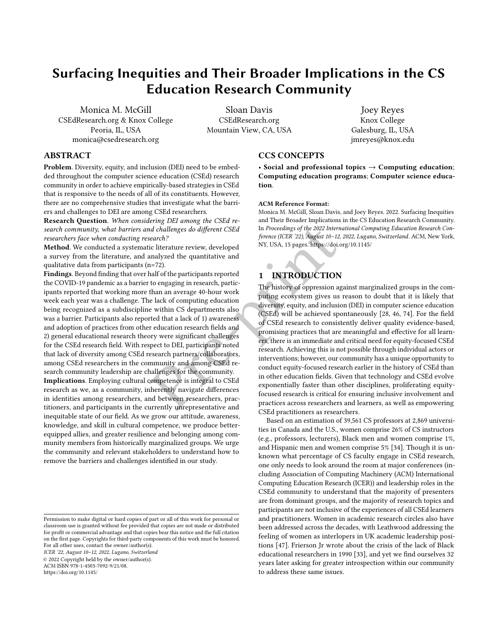# Surfacing Inequities and Their Broader Implications in the CS Education Research Community

[Monica M. McGill](https://orcid.org/0000-0002-3096-9619) CSEdResearch.org & Knox College Peoria, IL, USA monica@csedresearch.org

[Sloan Davis](https://orcid.org/0000-0001-5146-935X) CSEdResearch.org Mountain View, CA, USA

[Joey Reyes](https://orcid.org/0000-0003-3866-9933) Knox College Galesburg, IL, USA jmreyes@knox.edu

# ABSTRACT

Problem. Diversity, equity, and inclusion (DEI) need to be embedded throughout the computer science education (CSEd) research community in order to achieve empirically-based strategies in CSEd that is responsive to the needs of all of its constituents. However, there are no comprehensive studies that investigate what the barriers and challenges to DEI are among CSEd researchers.

Research Question. When considering DEI among the CSEd research community, what barriers and challenges do different CSEd researchers face when conducting research?

Method. We conducted a systematic literature review, developed a survey from the literature, and analyzed the quantitative and qualitative data from participants (n=72).

Findings. Beyond finding that over half of the participants reported the COVID-19 pandemic as a barrier to engaging in research, participants reported that working more than an average 40-hour work week each year was a challenge. The lack of computing education being recognized as a subdiscipline within CS departments also was a barrier. Participants also reported that a lack of 1) awareness and adoption of practices from other education research fields and 2) general educational research theory were significant challenges for the CSEd research field. With respect to DEI, participants noted that lack of diversity among CSEd research partners/collaborators, among CSEd researchers in the community and among CSEd research community leadership are challenges for the community.

Implications. Employing cultural competence is integral to CSEd research as we, as a community, inherently navigate differences in identities among researchers, and between researchers, practitioners, and participants in the currently unrepresentative and inequitable state of our field. As we grow our attitude, awareness, knowledge, and skill in cultural competence, we produce betterequipped allies, and greater resilience and belonging among community members from historically marginalized groups. We urge the community and relevant stakeholders to understand how to remove the barriers and challenges identified in our study.

ICER '22, August 10–12, 2022, Lugano, Switzerland

© 2022 Copyright held by the owner/author(s).

ACM ISBN 978-1-4503-7092-9/21/08.

<https://doi.org/10.1145/>

# CCS CONCEPTS

• Social and professional topics  $\rightarrow$  Computing education; Computing education programs; Computer science education.

#### ACM Reference Format:

Monica M. McGill, Sloan Davis, and Joey Reyes. 2022. Surfacing Inequities and Their Broader Implications in the CS Education Research Community. In Proceedings of the 2022 International Computing Education Research Conference (ICER '22), August 10–12, 2022, Lugano, Switzerland. ACM, New York, NY, USA, 15 pages.<https://doi.org/10.1145/>

# 1 INTRODUCTION

Pre-pri[n](#page-14-0)t The history of oppression against marginalized groups in the computing ecosystem gives us reason to doubt that it is likely that diversity, equity, and inclusion (DEI) in computer science education (CSEd) will be achieved spontaneously [\[28,](#page-13-0) [46,](#page-14-1) [74\]](#page-14-2). For the field of CSEd research to consistently deliver quality evidence-based, promising practices that are meaningful and effective for all learners, there is an immediate and critical need for equity-focused CSEd research. Achieving this is not possible through individual actors or interventions; however, our community has a unique opportunity to conduct equity-focused research earlier in the history of CSEd than in other education fields. Given that technology and CSEd evolve exponentially faster than other disciplines, proliferating equityfocused research is critical for ensuring inclusive involvement and practices across researchers and learners, as well as empowering CSEd practitioners as researchers.

> Based on an estimation of 39,561 CS professors at 2,869 universities in Canada and the U.S., women comprise 26% of CS instructors (e.g., professors, lecturers), Black men and women comprise 1%, and Hispanic men and women comprise 5% [\[34\]](#page-13-1). Though it is unknown what percentage of CS faculty engage in CSEd research, one only needs to look around the room at major conferences (including Association of Computing Machinery (ACM) International Computing Education Research (ICER)) and leadership roles in the CSEd community to understand that the majority of presenters are from dominant groups, and the majority of research topics and participants are not inclusive of the experiences of all CSEd learners and practitioners. Women in academic research circles also have been addressed across the decades, with [Leathwood](#page-14-3) addressing the feeling of women as interlopers in UK academic leadership positions [\[47\]](#page-14-3). [Frierson Jr](#page-13-2) wrote about the crisis of the lack of Black educational researchers in 1990 [\[33\]](#page-13-2), and yet we find ourselves 32 years later asking for greater introspection within our community to address these same issues.

Permission to make digital or hard copies of part or all of this work for personal or classroom use is granted without fee provided that copies are not made or distributed for profit or commercial advantage and that copies bear this notice and the full citation on the first page. Copyrights for third-party components of this work must be honored. For all other uses, contact the owner/author(s).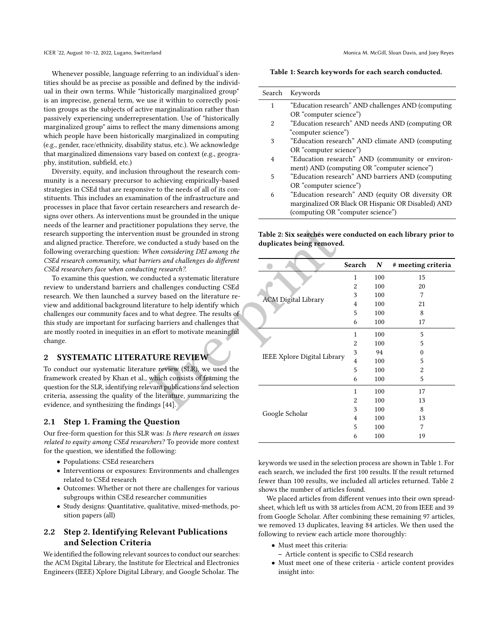Whenever possible, language referring to an individual's identities should be as precise as possible and defined by the individual in their own terms. While "historically marginalized group" is an imprecise, general term, we use it within to correctly position groups as the subjects of active marginalization rather than passively experiencing underrepresentation. Use of "historically marginalized group" aims to reflect the many dimensions among which people have been historically marginalized in computing (e.g., gender, race/ethnicity, disability status, etc.). We acknowledge that marginalized dimensions vary based on context (e.g., geography, institution, subfield, etc.)

Diversity, equity, and inclusion throughout the research community is a necessary precursor to achieving empirically-based strategies in CSEd that are responsive to the needs of all of its constituents. This includes an examination of the infrastructure and processes in place that favor certain researchers and research designs over others. As interventions must be grounded in the unique needs of the learner and practitioner populations they serve, the research supporting the intervention must be grounded in strong and aligned practice. Therefore, we conducted a study based on the following overarching question: When considering DEI among the CSEd research community, what barriers and challenges do different CSEd researchers face when conducting research?.

To examine this question, we conducted a systematic literature review to understand barriers and challenges conducting CSEd research. We then launched a survey based on the literature review and additional background literature to help identify which challenges our community faces and to what degree. The results of this study are important for surfacing barriers and challenges that are mostly rooted in inequities in an effort to motivate meaningful change.

## 2 SYSTEMATIC LITERATURE REVIEW

To conduct our systematic literature review (SLR), we used the framework created by [Khan et al.,](#page-13-3) which consists of framing the question for the SLR, identifying relevant publications and selection criteria, assessing the quality of the literature, summarizing the evidence, and synthesizing the findings [44].

## 2.1 Step 1. Framing the Question

Our free-form question for this SLR was: Is there research on issues related to equity among CSEd researchers? To provide more context for the question, we identified the following:

- Populations: CSEd researchers
- Interventions or exposures: Environments and challenges related to CSEd research
- Outcomes: Whether or not there are challenges for various subgroups within CSEd researcher communities
- Study designs: Quantitative, qualitative, mixed-methods, position papers (all)

# 2.2 Step 2. Identifying Relevant Publications and Selection Criteria

We identified the following relevant sources to conduct our searches: the ACM Digital Library, the Institute for Electrical and Electronics Engineers (IEEE) Xplore Digital Library, and Google Scholar. The

## <span id="page-1-0"></span>Table 1: Search keywords for each search conducted.

| Search | Keywords                                           |
|--------|----------------------------------------------------|
| 1      | "Education research" AND challenges AND (computing |
|        | OR "computer science")                             |
| 2      | "Education research" AND needs AND (computing OR   |
|        | "computer science")                                |
| 3      | "Education research" AND climate AND (computing    |
|        | OR "computer science")                             |
| 4      | "Education research" AND (community or environ-    |
|        | ment) AND (computing OR "computer science")        |
| 5      | "Education research" AND barriers AND (computing   |
|        | OR "computer science")                             |
| 6      | "Education research" AND (equity OR diversity OR   |

marginalized OR Black OR Hispanic OR Disabled) AND (computing OR "computer science")

<span id="page-1-1"></span>Table 2: Six searches were conducted on each library prior to duplicates being removed.

| er populations they serve, the                                       |                                                               |                |     |                    |  |
|----------------------------------------------------------------------|---------------------------------------------------------------|----------------|-----|--------------------|--|
| on must be grounded in strong                                        | Table 2: Six searches were conducted on each library prior to |                |     |                    |  |
| conducted a study based on the                                       | duplicates being removed.                                     |                |     |                    |  |
| hen considering DEI among the                                        |                                                               |                |     |                    |  |
| riers and challenges do different<br>ing research?.                  |                                                               | Search         | N   | # meeting criteria |  |
| nducted a systematic literature                                      |                                                               | 1              | 100 | 15                 |  |
| challenges conducting CSEd                                           |                                                               | $\overline{c}$ | 100 | 20                 |  |
| vey based on the literature re-                                      | <b>ACM Digital Library</b>                                    | 3              | 100 | 7                  |  |
| erature to help identify which                                       |                                                               | 4              | 100 | 21                 |  |
| d to what degree. The results of                                     |                                                               |                | 100 | 8                  |  |
| ng barriers and challenges that                                      |                                                               |                | 100 | 17                 |  |
| n effort to motivate meaningful                                      |                                                               | 1              | 100 | 5                  |  |
|                                                                      |                                                               | 2              | 100 | 5                  |  |
|                                                                      | IEEE Xplore Digital Library                                   | 3              | 94  | 0                  |  |
| <b>TURE REVIEW</b>                                                   |                                                               | 4              | 100 | 5                  |  |
| ire review (SLR), we used the                                        |                                                               | 5              | 100 | 2                  |  |
| which consists of framing the                                        |                                                               | 6              | 100 | 5                  |  |
| evant publications and selection                                     |                                                               | 1              | 100 | 17                 |  |
| ne literature, summarizing the                                       |                                                               | 2              | 100 | 13                 |  |
| ings [44].                                                           | Google Scholar                                                | 3              | 100 | 8                  |  |
| <b>Juestion</b>                                                      |                                                               | 4              | 100 | 13                 |  |
|                                                                      |                                                               | 5              | 100 | 7                  |  |
| was: Is there research on issues<br>$h$ ana? Ta nyarida mana aantart |                                                               | 6              | 100 | 19                 |  |
|                                                                      |                                                               |                |     |                    |  |

keywords we used in the selection process are shown in Table [1.](#page-1-0) For each search, we included the first 100 results. If the result returned fewer than 100 results, we included all articles returned. Table [2](#page-1-1) shows the number of articles found.

We placed articles from different venues into their own spreadsheet, which left us with 38 articles from ACM, 20 from IEEE and 39 from Google Scholar. After combining these remaining 97 articles, we removed 13 duplicates, leaving 84 articles. We then used the following to review each article more thoroughly:

- Must meet this criteria:
	- Article content is specific to CSEd research
- Must meet one of these criteria article content provides insight into: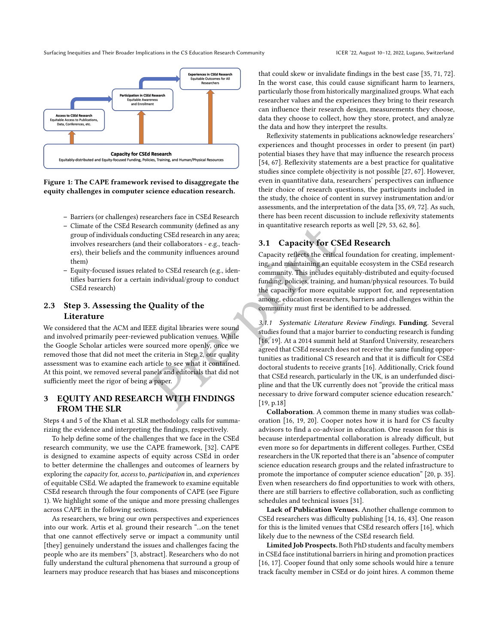<span id="page-2-0"></span>

Figure 1: The CAPE framework revised to disaggregate the equity challenges in computer science education research.

- Barriers (or challenges) researchers face in CSEd Research
- Climate of the CSEd Research community (defined as any group of individuals conducting CSEd research in any area; involves researchers (and their collaborators - e.g., teachers), their beliefs and the community influences around them)
- Equity-focused issues related to CSEd research (e.g., identifies barriers for a certain individual/group to conduct CSEd research)

# 2.3 Step 3. Assessing the Quality of the Literature

We considered that the ACM and IEEE digital libraries were sound and involved primarily peer-reviewed publication venues. While the Google Scholar articles were sourced more openly, once we removed those that did not meet the criteria in Step 2, our quality assessment was to examine each article to see what it contained. At this point, we removed several panels and editorials that did not sufficiently meet the rigor of being a paper.

# 3 EQUITY AND RESEARCH WITH FINDINGS FROM THE SLR

Steps 4 and 5 of the [Khan et al.](#page-13-3) SLR methodology calls for summarizing the evidence and interpreting the findings, respectively.

To help define some of the challenges that we face in the CSEd research community, we use the CAPE framework, [\[32\]](#page-13-4). CAPE is designed to examine aspects of equity across CSEd in order to better determine the challenges and outcomes of learners by exploring the capacity for, access to, participation in, and experiences of equitable CSEd. We adapted the framework to examine equitable CSEd research through the four components of CAPE (see Figure [1\)](#page-2-0). We highlight some of the unique and more pressing challenges across CAPE in the following sections.

As researchers, we bring our own perspectives and experiences into our work. [Artis et al.](#page-13-5) ground their research "...on the tenet that one cannot effectively serve or impact a community until [they] genuinely understand the issues and challenges facing the people who are its members" [\[3,](#page-13-5) abstract]. Researchers who do not fully understand the cultural phenomena that surround a group of learners may produce research that has biases and misconceptions that could skew or invalidate findings in the best case [\[35,](#page-13-6) [71,](#page-14-4) [72\]](#page-14-5). In the worst case, this could cause significant harm to learners, particularly those from historically marginalized groups. What each researcher values and the experiences they bring to their research can influence their research design, measurements they choose, data they choose to collect, how they store, protect, and analyze the data and how they interpret the results.

Reflexivity statements in publications acknowledge researchers' experiences and thought processes in order to present (in part) potential biases they have that may influence the research process [\[54,](#page-14-6) [67\]](#page-14-7). Reflexivity statements are a best practice for qualitative studies since complete objectivity is not possible [\[27,](#page-13-7) [67\]](#page-14-7). However, even in quantitative data, researchers' perspectives can influence their choice of research questions, the participants included in the study, the choice of content in survey instrumentation and/or assessments, and the interpretation of the data [\[35,](#page-13-6) [69,](#page-14-8) [72\]](#page-14-5). As such, there has been recent discussion to include reflexivity statements in quantitative research reports as well [\[29,](#page-13-8) [53,](#page-14-9) [62,](#page-14-10) [86\]](#page-14-11).

## 3.1 Capacity for CSEd Research

Capacity reflects the critical foundation for creating, implementing, and maintaining an equitable ecosystem in the CSEd research community. This includes equitably-distributed and equity-focused funding, policies, training, and human/physical resources. To build the capacity for more equitable support for, and representation among, education researchers, barriers and challenges within the community must first be identified to be addressed.

ref community (defined as any<br>
their collaborators - e.g., teach<br>
their collaborators - e.g., teach<br>
community influences around<br>
the community. This includes equitable<br>
ed to CSEd research (e.g., iden-<br>
individual/grou[p](#page-13-9) t 3.1.1 Systematic Literature Review Findings. Funding. Several studies found that a major barrier to conducting research is funding [16, 19]. At a 2014 summit held at Stanford University, researchers agreed that CSEd research does not receive the same funding opportunities as traditional CS research and that it is difficult for CSEd doctoral students to receive grants [\[16\]](#page-13-9). Additionally, [Crick](#page-13-10) found that CSEd research, particularly in the UK, is an underfunded discipline and that the UK currently does not "provide the critical mass necessary to drive forward computer science education research." [19, p.18]

Collaboration. A common theme in many studies was collaboration [\[16,](#page-13-9) [19,](#page-13-10) [20\]](#page-13-11). [Cooper](#page-13-9) notes how it is hard for CS faculty advisors to find a co-advisor in education. One reason for this is because interdepartmental collaboration is already difficult, but even more so for departments in different colleges. Further, CSEd researchers in the UK reported that there is an "absence of computer science education research groups and the related infrastructure to promote the importance of computer science education" [\[20,](#page-13-11) p. 35]. Even when researchers do find opportunities to work with others, there are still barriers to effective collaboration, such as conflicting schedules and technical issues [\[31\]](#page-13-12).

Lack of Publication Venues. Another challenge common to CSEd researchers was difficulty publishing [\[14,](#page-13-13) [16,](#page-13-9) [43\]](#page-13-14). One reason for this is the limited venues that CSEd research offers [\[16\]](#page-13-9), which likely due to the newness of the CSEd research field.

Limited Job Prospects. Both PhD students and faculty members in CSEd face institutional barriers in hiring and promotion practices [\[16,](#page-13-9) [17\]](#page-13-15). [Cooper](#page-13-9) found that only some schools would hire a tenure track faculty member in CSEd or do joint hires. A common theme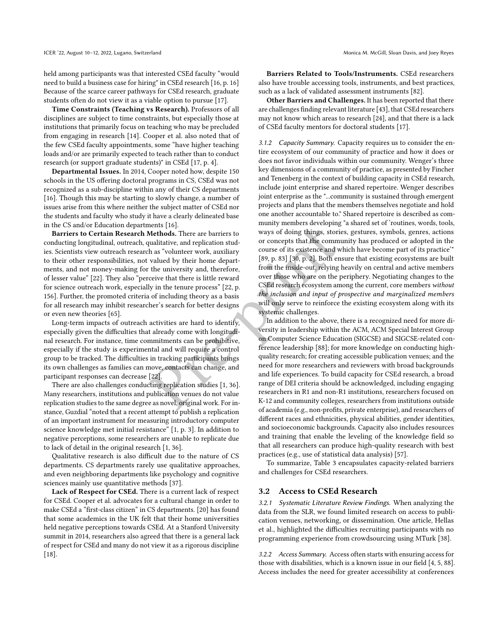held among participants was that interested CSEd faculty "would need to build a business case for hiring" in CSEd research [\[16,](#page-13-9) p. 16] Because of the scarce career pathways for CSEd research, graduate students often do not view it as a viable option to pursue [\[17\]](#page-13-15).

Time Constraints (Teaching vs Research). Professors of all disciplines are subject to time constraints, but especially those at institutions that primarily focus on teaching who may be precluded from engaging in research [\[14\]](#page-13-13). [Cooper et al.](#page-13-15) also noted that of the few CSEd faculty appointments, some "have higher teaching loads and/or are primarily expected to teach rather than to conduct research (or support graduate students)" in CSEd [\[17,](#page-13-15) p. 4].

Departmental Issues. In 2014, [Cooper](#page-13-9) noted how, despite 150 schools in the US offering doctoral programs in CS, CSEd was not recognized as a sub-discipline within any of their CS departments [\[16\]](#page-13-9). Though this may be starting to slowly change, a number of issues arise from this where neither the subject matter of CSEd nor the students and faculty who study it have a clearly delineated base in the CS and/or Education departments [\[16\]](#page-13-9).

Barriers to Certain Research Methods. There are barriers to conducting longitudinal, outreach, qualitative, and replication studies. Scientists view outreach research as "volunteer work, auxiliary to their other responsibilities, not valued by their home departments, and not money-making for the university and, therefore, of lesser value" [\[22\]](#page-13-16). They also "perceive that there is little reward for science outreach work, especially in the tenure process" [22, p. 156]. Further, the promoted criteria of including theory as a basis for all research may inhibit researcher's search for better designs or even new theories [\[65\]](#page-14-12).

Long-term impacts of outreach activities are hard to identify, especially given the difficulties that already come with longitudinal research. For instance, time commitments can be prohibitive, especially if the study is experimental and will require a control group to be tracked. The difficulties in tracking participants brings its own challenges as families can move, contacts can change, and participant responses can decrease [22].

There are also challenges conducting replication studies [1, 36]. Many researchers, institutions and publication venues do not value replication studies to the same degree as novel, original work. For instance, Guzdial "noted that a recent attempt to publish a replication of an important instrument for measuring introductory computer science knowledge met initial resistance" [\[1,](#page-13-17) p. 3]. In addition to negative perceptions, some researchers are unable to replicate due to lack of detail in the original research [\[1,](#page-13-17) [36\]](#page-13-18).

Qualitative research is also difficult due to the nature of CS departments. CS departments rarely use qualitative approaches, and even neighboring departments like psychology and cognitive sciences mainly use quantitative methods [\[37\]](#page-13-19).

Lack of Respect for CSEd. There is a current lack of respect for CSEd. [Cooper et al.](#page-13-15) advocates for a cultural change in order to make CSEd a "first-class citizen" in CS departments. [\[20\]](#page-13-11) has found that some academics in the UK felt that their home universities held negative perceptions towards CSEd. At a Stanford University summit in 2014, researchers also agreed that there is a general lack of respect for CSEd and many do not view it as a rigorous discipline [\[18\]](#page-13-20).

Barriers Related to Tools/Instruments. CSEd researchers also have trouble accessing tools, instruments, and best practices, such as a lack of validated assessment instruments [\[82\]](#page-14-13).

Other Barriers and Challenges. It has been reported that there are challenges finding relevant literature [\[43\]](#page-13-14), that CSEd researchers may not know which areas to research [\[24\]](#page-13-21), and that there is a lack of CSEd faculty mentors for doctoral students [\[17\]](#page-13-15).

3.1.2 Capacity Summary. Capacity requires us to consider the entire ecosystem of our community of practice and how it does or does not favor individuals within our community. [Wenger'](#page-14-14)s three key dimensions of a community of practice, as presented by [Fincher](#page-13-22) [and Tenenberg](#page-13-22) in the context of building capacity in CSEd research, include joint enterprise and shared repertoire. [Wenger](#page-14-14) describes joint enterprise as the "...community is sustained through emergent projects and plans that the members themselves negotiate and hold one another accountable to." Shared repertoire is described as community members developing "a shared set of 'routines, words, tools, ways of doing things, stories, gestures, symbols, genres, actions or concepts that the community has produced or adopted in the course of its existence and which have become part of its practice'" [89, p. 83] [30, p. 2]. Both ensure that existing ecosystems are built from the inside-out, relying heavily on central and active members over those who are on the periphery. Negotiating changes to the CSEd research ecosystem among the current, core members without the inclusion and input of prospective and marginalized members will only serve to reinforce the existing ecosystem along with its systemic challenges.

ments [16].<br>
Methods. There are barriers to<br>
ways of do[in](#page-13-22)g things, stories, gest<br>
unalitative, and replication students<br>
ways of doing things, stories, gest<br>
unalitative, and replication students<br>
to concepts that the comm In addition to the above, there is a recognized need for more diversity in leadership within the ACM, ACM Special Interest Group on Computer Science Education (SIGCSE) and SIGCSE-related conference leadership [88]; for more knowledge on conducting highquality research; for creating accessible publication venues; and the need for more researchers and reviewers with broad backgrounds and life experiences. To build capacity for CSEd research, a broad range of DEI criteria should be acknowledged, including engaging researchers in R1 and non-R1 institutions, researchers focused on K-12 and community colleges, researchers from institutions outside of academia (e.g., non-profits, private enterprise), and researchers of different races and ethnicities, physical abilities, gender identities, and socioeconomic backgrounds. Capacity also includes resources and training that enable the leveling of the knowledge field so that all researchers can produce high-quality research with best practices (e.g., use of statistical data analysis) [\[57\]](#page-14-16).

> To summarize, Table [3](#page-4-0) encapsulates capacity-related barriers and challenges for CSEd researchers.

## 3.2 Access to CSEd Research

3.2.1 Systematic Literature Review Findings. When analyzing the data from the SLR, we found limited research on access to publication venues, networking, or dissemination. One article, [Hellas](#page-13-23) [et al.,](#page-13-23) highlighted the difficulties recruiting participants with no programming experience from crowdsourcing using MTurk [\[38\]](#page-13-23).

3.2.2 Access Summary. Access often starts with ensuring access for those with disabilities, which is a known issue in our field [\[4,](#page-13-24) [5,](#page-13-25) [88\]](#page-14-15). Access includes the need for greater accessibility at conferences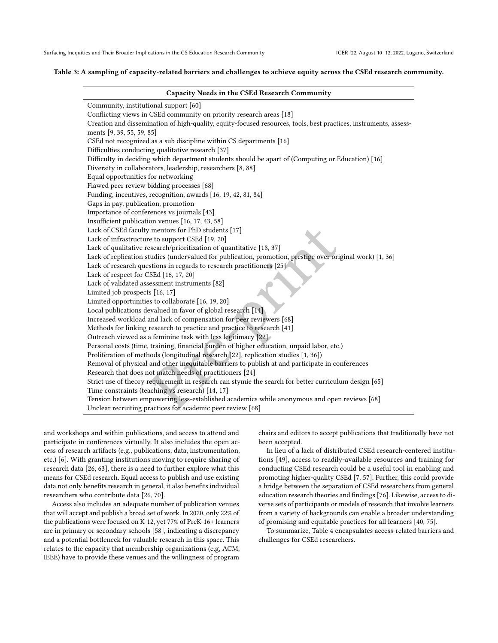#### <span id="page-4-0"></span>Table 3: A sampling of capacity-related barriers and challenges to achieve equity across the CSEd research community.

| Capacity Needs in the CSEd Research Community                                                                     |
|-------------------------------------------------------------------------------------------------------------------|
| Community, institutional support [60]                                                                             |
| Conflicting views in CSEd community on priority research areas [18]                                               |
| Creation and dissemination of high-quality, equity-focused resources, tools, best practices, instruments, assess- |
| ments [9, 39, 55, 59, 85]                                                                                         |
| CSEd not recognized as a sub discipline within CS departments [16]                                                |
| Difficulties conducting qualitative research [37]                                                                 |
| Difficulty in deciding which department students should be apart of (Computing or Education) [16]                 |
| Diversity in collaborators, leadership, researchers [8, 88]                                                       |
| Equal opportunities for networking                                                                                |
| Flawed peer review bidding processes [68]                                                                         |
| Funding, incentives, recognition, awards [16, 19, 42, 81, 84]                                                     |
| Gaps in pay, publication, promotion                                                                               |
| Importance of conferences vs journals [43]                                                                        |
| Insufficient publication venues [16, 17, 43, 58]                                                                  |
| Lack of CSEd faculty mentors for PhD students [17]                                                                |
| Lack of infrastructure to support CSEd [19, 20]                                                                   |
| Lack of qualitative research/prioritization of quantitative [18, 37]                                              |
| Lack of replication studies (undervalued for publication, promotion, prestige over original work) [1, 36]         |
| Lack of research questions in regards to research practitioners [25]                                              |
| Lack of respect for CSEd [16, 17, 20]                                                                             |
| Lack of validated assessment instruments [82]                                                                     |
| Limited job prospects [16, 17]                                                                                    |
| Limited opportunities to collaborate [16, 19, 20]                                                                 |
| Local publications devalued in favor of global research [14]                                                      |
| Increased workload and lack of compensation for peer reviewers [68]                                               |
| Methods for linking research to practice and practice to research [41]                                            |
| Outreach viewed as a feminine task with less legitimacy [22]                                                      |
| Personal costs (time, training, financial burden of higher education, unpaid labor, etc.)                         |
| Proliferation of methods (longitudinal research [22], replication studies [1, 36])                                |
| Removal of physical and other inequitable barriers to publish at and participate in conferences                   |
| Research that does not match needs of practitioners [24]                                                          |
| Strict use of theory requirement in research can stymie the search for better curriculum design [65]              |
| Time constraints (teaching vs research) [14, 17]                                                                  |
| Tension between empowering less-established academics while anonymous and open reviews [68]                       |
| Unclear recruiting practices for academic peer review [68]                                                        |

and workshops and within publications, and access to attend and participate in conferences virtually. It also includes the open access of research artifacts (e.g., publications, data, instrumentation, etc.) [\[6\]](#page-13-32). With granting institutions moving to require sharing of research data [\[26,](#page-13-33) [63\]](#page-14-25), there is a need to further explore what this means for CSEd research. Equal access to publish and use existing data not only benefits research in general, it also benefits individual researchers who contribute data [\[26,](#page-13-33) [70\]](#page-14-26).

Access also includes an adequate number of publication venues that will accept and publish a broad set of work. In 2020, only 22% of the publications were focused on K-12, yet 77% of PreK-16+ learners are in primary or secondary schools [\[58\]](#page-14-24), indicating a discrepancy and a potential bottleneck for valuable research in this space. This relates to the capacity that membership organizations (e.g, ACM, IEEE) have to provide these venues and the willingness of program

chairs and editors to accept publications that traditionally have not been accepted.

In lieu of a lack of distributed CSEd research-centered institutions [\[49\]](#page-14-27), access to readily-available resources and training for conducting CSEd research could be a useful tool in enabling and promoting higher-quality CSEd [\[7,](#page-13-34) [57\]](#page-14-16). Further, this could provide a bridge between the separation of CSEd researchers from general education research theories and findings [\[76\]](#page-14-28). Likewise, access to diverse sets of participants or models of research that involve learners from a variety of backgrounds can enable a broader understanding of promising and equitable practices for all learners [\[40,](#page-13-35) [75\]](#page-14-29).

To summarize, Table [4](#page-5-0) encapsulates access-related barriers and challenges for CSEd researchers.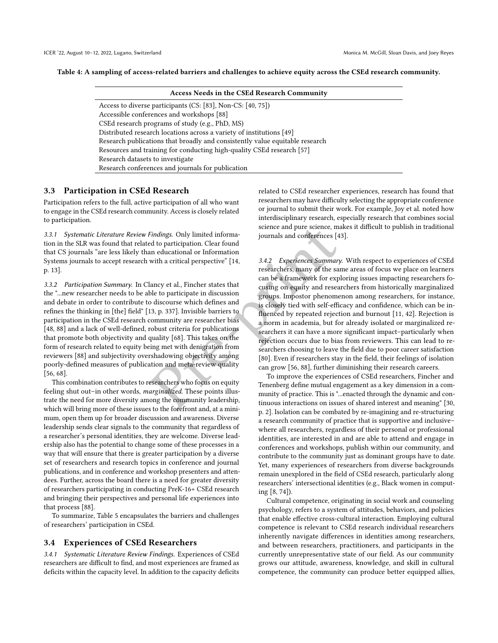<span id="page-5-0"></span>

|  |  | Table 4: A sampling of access-related barriers and challenges to achieve equity across the CSEd research community. |
|--|--|---------------------------------------------------------------------------------------------------------------------|
|  |  |                                                                                                                     |

| <b>Access Needs in the CSEd Research Community</b>                           |
|------------------------------------------------------------------------------|
| Access to diverse participants (CS: [83], Non-CS: [40, 75])                  |
| Accessible conferences and workshops [88]                                    |
| CSEd research programs of study (e.g., PhD, MS)                              |
| Distributed research locations across a variety of institutions [49]         |
| Research publications that broadly and consistently value equitable research |
| Resources and training for conducting high-quality CSEd research [57]        |
| Research datasets to investigate                                             |
| Research conferences and journals for publication                            |

# 3.3 Participation in CSEd Research

Participation refers to the full, active participation of all who want to engage in the CSEd research community. Access is closely related to participation.

3.3.1 Systematic Literature Review Findings. Only limited information in the SLR was found that related to participation. Clear found that CS journals "are less likely than educational or Information Systems journals to accept research with a critical perspective" [14, p. 13].

3.3.2 Participation Summary. In [Clancy et al.,](#page-13-36) Fincher states that the "...new researcher needs to be able to participate in discussion and debate in order to contribute to discourse which defines and refines the thinking in [the] field" [\[13,](#page-13-36) p. 337]. Invisible barriers to participation in the CSEd research community are researcher bias [\[48,](#page-14-31) [88\]](#page-14-15) and a lack of well-defined, robust criteria for publications that promote both objectivity and quality [68]. This takes on the form of research related to equity being met with denigration from reviewers [\[88\]](#page-14-15) and subjectivity overshadowing objectivity among poorly-defined measures of publication and meta-review quality [\[56,](#page-14-32) [68\]](#page-14-21).

This combination contributes to researchers who focus on equity feeling shut out–in other words, marginalized. These points illustrate the need for more diversity among the community leadership, which will bring more of these issues to the forefront and, at a minimum, open them up for broader discussion and awareness. Diverse leadership sends clear signals to the community that regardless of a researcher's personal identities, they are welcome. Diverse leadership also has the potential to change some of these processes in a way that will ensure that there is greater participation by a diverse set of researchers and research topics in conference and journal publications, and in conference and workshop presenters and attendees. Further, across the board there is a need for greater diversity of researchers participating in conducting PreK-16+ CSEd research and bringing their perspectives and personal life experiences into that process [\[88\]](#page-14-15).

To summarize, Table [5](#page-6-0) encapsulates the barriers and challenges of researchers' participation in CSEd.

#### 3.4 Experiences of CSEd Researchers

3.4.1 Systematic Literature Review Findings. Experiences of CSEd researchers are difficult to find, and most experiences are framed as deficits within the capacity level. In addition to the capacity deficits related to CSEd researcher experiences, research has found that researchers may have difficulty selecting the appropriate conference or journal to submit their work. For example, [Joy et al.](#page-13-14) noted how interdisciplinary research, especially research that combines social science and pure science, makes it difficult to publish in traditional journals and conferences [\[43\]](#page-13-14).

Findings. Only limited information<br>
ed to participation. Clear found<br>
and information and conferences [43].<br>
and conferences for exploring is and conferences [43].<br>
and educational or Information<br>
with a critical perspecti 3.4.2 Experiences Summary. With respect to experiences of CSEd researchers, many of the same areas of focus we place on learners can be a framework for exploring issues impacting researchers focusing on equity and researchers from historically marginalized groups. Impostor phenomenon among researchers, for instance, is closely tied with self-efficacy and confidence, which can be influenced by repeated rejection and burnout [\[11,](#page-13-37) [42\]](#page-13-29). Rejection is a norm in academia, but for already isolated or marginalized researchers it can have a more significant impact–particularly when rejection occurs due to bias from reviewers. This can lead to researchers choosing to leave the field due to poor career satisfaction [80]. Even if researchers stay in the field, their feelings of isolation can grow [56, 88], further diminishing their research careers.

To improve the experiences of CSEd researchers, [Fincher and](#page-13-22) Tenenberg define mutual engagement as a key dimension in a community of practice. This is "...enacted through the dynamic and continuous interactions on issues of shared interest and meaning" [\[30,](#page-13-22) p. 2]. Isolation can be combated by re-imagining and re-structuring a research community of practice that is supportive and inclusive– where all researchers, regardless of their personal or professional identities, are interested in and are able to attend and engage in conferences and workshops, publish within our community, and contribute to the community just as dominant groups have to date. Yet, many experiences of researchers from diverse backgrounds remain unexplored in the field of CSEd research, particularly along researchers' intersectional identities (e.g., Black women in computing [\[8,](#page-13-28) [74\]](#page-14-2)).

Cultural competence, originating in social work and counseling psychology, refers to a system of attitudes, behaviors, and policies that enable effective cross-cultural interaction. Employing cultural competence is relevant to CSEd research individual researchers inherently navigate differences in identities among researchers, and between researchers, practitioners, and participants in the currently unrepresentative state of our field. As our community grows our attitude, awareness, knowledge, and skill in cultural competence, the community can produce better equipped allies,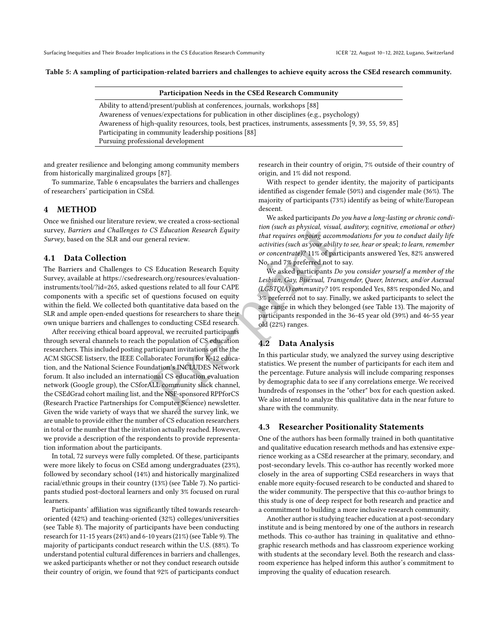<span id="page-6-0"></span>Table 5: A sampling of participation-related barriers and challenges to achieve equity across the CSEd research community.

| Participation Needs in the CSEd Research Community                                                       |
|----------------------------------------------------------------------------------------------------------|
| Ability to attend/present/publish at conferences, journals, workshops [88]                               |
| Awareness of venues/expectations for publication in other disciplines (e.g., psychology)                 |
| Awareness of high-quality resources, tools, best practices, instruments, assessments [9, 39, 55, 59, 85] |
| Participating in community leadership positions [88]                                                     |
| Pursuing professional development                                                                        |

and greater resilience and belonging among community members from historically marginalized groups [\[87\]](#page-14-34).

To summarize, Table [6](#page-7-0) encapsulates the barriers and challenges of researchers' participation in CSEd.

## 4 METHOD

Once we finished our literature review, we created a cross-sectional survey, Barriers and Challenges to CS Education Research Equity Survey, based on the SLR and our general review.

## 4.1 Data Collection

The Barriers and Challenges to CS Education Research Equity Survey, available at [https://csedresearch.org/resources/evaluation](https://csedresearch.org/resources/evaluation-instruments/tool/?id=265)[instruments/tool/?id=265,](https://csedresearch.org/resources/evaluation-instruments/tool/?id=265) asked questions related to all four CAPE components with a specific set of questions focused on equity within the field. We collected both quantitative data based on the SLR and ample open-ended questions for researchers to share their own unique barriers and challenges to conducting CSEd research.

CS Education Research Equity<br>
tion (such as physical, visual, auditor<br>
eneral review.<br>
that requires ongoing accommodation<br>
or concentrate)? 11% of participants<br>
S. Education Research Equity<br>
No, and 7% preferred not to s After receiving ethical board approval, we recruited participants through several channels to reach the population of CS education researchers. This included posting participant invitations on the the ACM SIGCSE listserv, the IEEE Collaboratec Forum for K-12 education, and the National Science Foundation's INCLUDES Network forum. It also included an international CS education evaluation network (Google group), the CSforALL community slack channel, the CSEdGrad cohort mailing list, and the NSF-sponsored RPPforCS (Research Practice Partnerships for Computer Science) newsletter. Given the wide variety of ways that we shared the survey link, we are unable to provide either the number of CS education researchers in total or the number that the invitation actually reached. However, we provide a description of the respondents to provide representation information about the participants.

In total, 72 surveys were fully completed. Of these, participants were more likely to focus on CSEd among undergraduates (23%), followed by secondary school (14%) and historically marginalized racial/ethnic groups in their country (13%) (see Table [7\)](#page-7-1). No participants studied post-doctoral learners and only 3% focused on rural learners.

Participants' affiliation was significantly tilted towards researchoriented (42%) and teaching-oriented (32%) colleges/universities (see Table [8\)](#page-7-2). The majority of participants have been conducting research for 11-15 years (24%) and 6-10 years (21%) (see Table [9\)](#page-7-3). The majority of participants conduct research within the U.S. (88%). To understand potential cultural differences in barriers and challenges, we asked participants whether or not they conduct research outside their country of origin, we found that 92% of participants conduct

research in their country of origin, 7% outside of their country of origin, and 1% did not respond.

With respect to gender identity, the majority of participants identified as cisgender female (50%) and cisgender male (36%). The majority of participants (73%) identify as being of white/European descent.

We asked participants Do you have a long-lasting or chronic condition (such as physical, visual, auditory, cognitive, emotional or other) that requires ongoing accommodations for you to conduct daily life activities (such as your ability to see, hear or speak; to learn, remember or concentrate)? 11% of participants answered Yes, 82% answered No, and 7% preferred not to say.

We asked participants Do you consider yourself a member of the Lesbian, Gay, Bisexual, Transgender, Queer, Intersex, and/or Asexual (LGBTQIA) community? 10% responded Yes, 88% responded No, and 3% preferred not to say. Finally, we asked participants to select the age range in which they belonged (see Table [13\)](#page-9-0). The majority of participants responded in the 36-45 year old (39%) and 46-55 year old (22%) ranges.

# 4.2 Data Analysis

In this particular study, we analyzed the survey using descriptive statistics. We present the number of participants for each item and the percentage. Future analysis will include comparing responses by demographic data to see if any correlations emerge. We received hundreds of responses in the "other" box for each question asked. We also intend to analyze this qualitative data in the near future to share with the community.

## 4.3 Researcher Positionality Statements

One of the authors has been formally trained in both quantitative and qualitative education research methods and has extensive experience working as a CSEd researcher at the primary, secondary, and post-secondary levels. This co-author has recently worked more closely in the area of supporting CSEd researchers in ways that enable more equity-focused research to be conducted and shared to the wider community. The perspective that this co-author brings to this study is one of deep respect for both research and practice and a commitment to building a more inclusive research community.

Another author is studying teacher education at a post-secondary institute and is being mentored by one of the authors in research methods. This co-author has training in qualitative and ethnographic research methods and has classroom experience working with students at the secondary level. Both the research and classroom experience has helped inform this author's commitment to improving the quality of education research.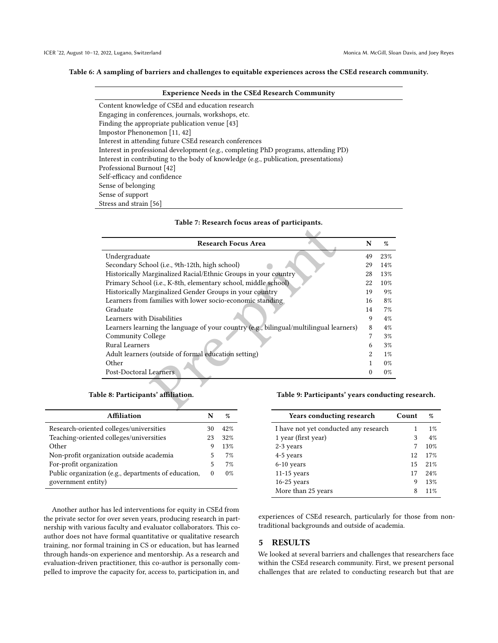## <span id="page-7-0"></span>Table 6: A sampling of barriers and challenges to equitable experiences across the CSEd research community.

| <b>Experience Needs in the CSEd Research Community</b>                               |
|--------------------------------------------------------------------------------------|
| Content knowledge of CSEd and education research                                     |
| Engaging in conferences, journals, workshops, etc.                                   |
| Finding the appropriate publication venue [43]                                       |
| Impostor Phenonemon [11, 42]                                                         |
| Interest in attending future CSEd research conferences                               |
| Interest in professional development (e.g., completing PhD programs, attending PD)   |
| Interest in contributing to the body of knowledge (e.g., publication, presentations) |
| Professional Burnout [42]                                                            |
| Self-efficacy and confidence                                                         |
| Sense of belonging                                                                   |
| Sense of support                                                                     |
| Stress and strain [56]                                                               |

| Table 7: Research focus areas of participants. |
|------------------------------------------------|
|------------------------------------------------|

<span id="page-7-1"></span>

| <b>Research Focus Area</b>                                                             | N        | $\%$   |
|----------------------------------------------------------------------------------------|----------|--------|
| Undergraduate                                                                          | 49       | 23%    |
| Secondary School (i.e., 9th-12th, high school)                                         | 29       | 14%    |
| Historically Marginalized Racial/Ethnic Groups in your country                         | 28       | 13%    |
| Primary School (i.e., K-8th, elementary school, middle school)                         | 22       | $10\%$ |
| Historically Marginalized Gender Groups in your country                                | 19       | $9\%$  |
| Learners from families with lower socio-economic standing                              | 16       | 8%     |
| Graduate                                                                               | 14       | $7\%$  |
| Learners with Disabilities                                                             | 9        | $4\%$  |
| Learners learning the language of your country (e.g., bilingual/multilingual learners) | 8        | $4\%$  |
| Community College                                                                      | 7        | $3\%$  |
| <b>Rural Learners</b>                                                                  | 6        | $3\%$  |
| Adult learners (outside of formal education setting)                                   | 2        | $1\%$  |
| Other                                                                                  | 1        | $0\%$  |
| Post-Doctoral Learners                                                                 | $\Omega$ | $0\%$  |
| ble 8: Participants' affi <b>lia</b> tion.<br>Table 9: Participants' years conduct     |          |        |

Table 8: Participants' affiliation.

<span id="page-7-2"></span>

| <b>Affiliation</b>                                                         | N        | %     |
|----------------------------------------------------------------------------|----------|-------|
| Research-oriented colleges/universities                                    | 30       | 42%   |
| Teaching-oriented colleges/universities                                    | 23       | 32%   |
| Other                                                                      | 9        | 13%   |
| Non-profit organization outside academia                                   | 5        | 7%    |
| For-profit organization                                                    | 5        | 7%    |
| Public organization (e.g., departments of education,<br>government entity) | $\Omega$ | $0\%$ |

Another author has led interventions for equity in CSEd from the private sector for over seven years, producing research in partnership with various faculty and evaluator collaborators. This coauthor does not have formal quantitative or qualitative research training, nor formal training in CS or education, but has learned through hands-on experience and mentorship. As a research and evaluation-driven practitioner, this co-author is personally compelled to improve the capacity for, access to, participation in, and

<span id="page-7-3"></span>Table 9: Participants' years conducting research.

| <b>Years conducting research</b>      | Count | %     |
|---------------------------------------|-------|-------|
| I have not yet conducted any research |       | $1\%$ |
| 1 year (first year)                   | 3     | 4%    |
| 2-3 years                             |       | 10%   |
| 4-5 years                             | 12    | 17%   |
| 6-10 years                            | 15    | 21%   |
| $11-15$ years                         | 17    | 24%   |
| $16-25$ years                         | 9     | 13%   |
| More than 25 years                    | 8     | 11%   |

experiences of CSEd research, particularly for those from nontraditional backgrounds and outside of academia.

# 5 RESULTS

We looked at several barriers and challenges that researchers face within the CSEd research community. First, we present personal challenges that are related to conducting research but that are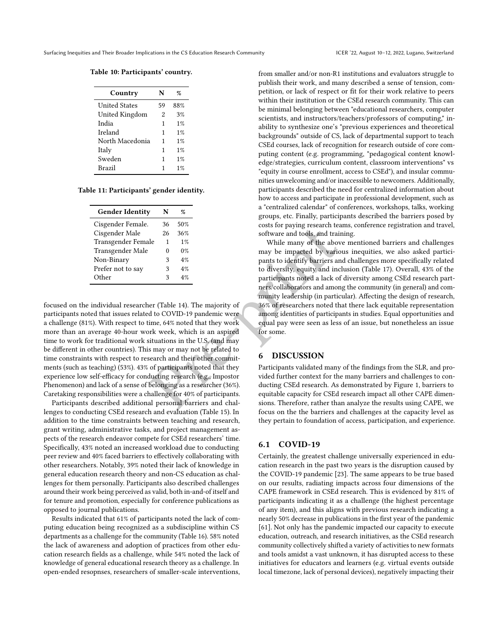Table 10: Participants' country.

| Country              | N  | %     |
|----------------------|----|-------|
| <b>United States</b> | 59 | 88%   |
| United Kingdom       | 2  | 3%    |
| India                | 1  | $1\%$ |
| Ireland              | 1  | $1\%$ |
| North Macedonia      | 1  | $1\%$ |
| Italy                | 1  | $1\%$ |
| Sweden               | 1  | $1\%$ |
| <b>Brazil</b>        | 1  | $1\%$ |

Table 11: Participants' gender identity.

| <b>Gender Identity</b> | N  | %     |
|------------------------|----|-------|
| Cisgender Female.      | 36 | 50%   |
| Cisgender Male         | 26 | 36%   |
| Transgender Female     | 1  | $1\%$ |
| Transgender Male       | 0  | $0\%$ |
| Non-Binary             | 3  | 4%    |
| Prefer not to say      | 3  | 4%    |
| Other                  | ٩  | 4%    |

focused on the individual researcher (Table 14). The majority of participants noted that issues related to COVID-19 pandemic were a challenge (81%). With respect to time, 64% noted that they work more than an average 40-hour work week, which is an aspired time to work for traditional work situations in the U.S. (and may be different in other countries). This may or may not be related to time constraints with respect to research and their other commitments (such as teaching) (53%). 43% of participants noted that they experience low self-efficacy for conducting research (e.g., Impostor Phenomenon) and lack of a sense of belonging as a researcher (36%). Caretaking responsibilities were a challenge for 40% of participants.

Participants described additional personal barriers and challenges to conducting CSEd research and evaluation (Table [15\)](#page-10-1). In addition to the time constraints between teaching and research, grant writing, administrative tasks, and project management aspects of the research endeavor compete for CSEd researchers' time. Specifically, 43% noted an increased workload due to conducting peer review and 40% faced barriers to effectively collaborating with other researchers. Notably, 39% noted their lack of knowledge in general education research theory and non-CS education as challenges for them personally. Participants also described challenges around their work being perceived as valid, both in-and-of itself and for tenure and promotion, especially for conference publications as opposed to journal publications.

Results indicated that 61% of participants noted the lack of computing education being recognized as a subdiscipline within CS departments as a challenge for the community (Table [16\)](#page-11-0). 58% noted the lack of awareness and adoption of practices from other education research fields as a challenge, while 54% noted the lack of knowledge of general educational research theory as a challenge. In open-ended resopnses, researchers of smaller-scale interventions, from smaller and/or non-R1 institutions and evaluators struggle to publish their work, and many described a sense of tension, competition, or lack of respect or fit for their work relative to peers within their institution or the CSEd research community. This can be minimal belonging between "educational researchers, computer scientists, and instructors/teachers/professors of computing," inability to synthesize one's "previous experiences and theoretical backgrounds" outside of CS, lack of departmental support to teach CSEd courses, lack of recognition for research outside of core computing content (e.g. programming, "pedagogical content knowledge/strategies, curriculum content, classroom interventions" vs "equity in course enrollment, access to CSEd"), and insular communities unwelcoming and/or inaccessible to newcomers. Additionally, participants described the need for centralized information about how to access and participate in professional development, such as a "centralized calendar" of conferences, workshops, talks, working groups, etc. Finally, participants described the barriers posed by costs for paying research teams, conference registration and travel, software and tools, and training.

26 36%<br>
26 36%<br>
26 36%<br>
26 36%<br>
26 36%<br>
26 36%<br>
26 36%<br>
26 36%<br>
26 11%<br>
26 11%<br>
26 11%<br>
26 11%<br>
26 11%<br>
26 11%<br>
26 11%<br>
26 11%<br>
26 11%<br>
26 11%<br>
26 12%<br>
26 12%<br>
26 12%<br>
26 12%<br>
26 12%<br>
26 12%<br>
26 12%<br>
26 12%<br>
26 12%<br>
26 12% While many of the above mentioned barriers and challenges may be impacted by various inequities, we also asked participants to identify barriers and challenges more specifically related to diversity, equity and inclusion (Table [17\)](#page-11-1). Overall, 43% of the participants noted a lack of diversity among CSEd research partners/collaborators and among the community (in general) and community leadership (in particular). Affecting the design of research, 36% of researchers noted that there lack equitable representation among identities of participants in studies. Equal opportunities and equal pay were seen as less of an issue, but nonetheless an issue for some.

#### 6 DISCUSSION

Participants validated many of the findings from the SLR, and provided further context for the many barriers and challenges to conducting CSEd research. As demonstrated by Figure [1,](#page-2-0) barriers to equitable capacity for CSEd research impact all other CAPE dimensions. Therefore, rather than analyze the results using CAPE, we focus on the the barriers and challenges at the capacity level as they pertain to foundation of access, participation, and experience.

#### 6.1 COVID-19

Certainly, the greatest challenge universally experienced in education research in the past two years is the disruption caused by the COVID-19 pandemic [\[23\]](#page-13-38). The same appears to be true based on our results, radiating impacts across four dimensions of the CAPE framework in CSEd research. This is evidenced by 81% of participants indicating it as a challenge (the highest percentage of any item), and this aligns with previous research indicating a nearly 50% decrease in publications in the first year of the pandemic [\[61\]](#page-14-35). Not only has the pandemic impacted our capacity to execute education, outreach, and research initiatives, as the CSEd research community collectively shifted a variety of activities to new formats and tools amidst a vast unknown, it has disrupted access to these initiatives for educators and learners (e.g. virtual events outside local timezone, lack of personal devices), negatively impacting their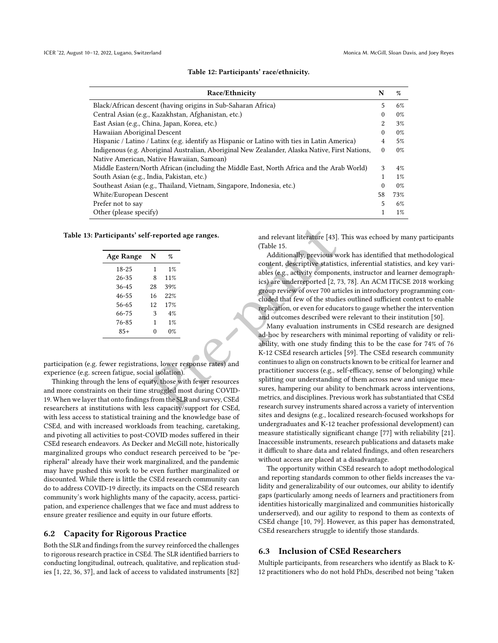#### Table 12: Participants' race/ethnicity.

| <b>Race/Ethnicity</b>                                                                           | N        | $\%$  |
|-------------------------------------------------------------------------------------------------|----------|-------|
| Black/African descent (having origins in Sub-Saharan Africa)                                    | 5        | 6%    |
| Central Asian (e.g., Kazakhstan, Afghanistan, etc.)                                             | 0        | $0\%$ |
| East Asian (e.g., China, Japan, Korea, etc.)                                                    | 2.       | 3%    |
| Hawaiian Aboriginal Descent                                                                     | $\Omega$ | $0\%$ |
| Hispanic / Latino / Latinx (e.g. identify as Hispanic or Latino with ties in Latin America)     | 4        | 5%    |
| Indigenous (e.g. Aboriginal Australian, Aboriginal New Zealander, Alaska Native, First Nations, | 0        | $0\%$ |
| Native American, Native Hawaiian, Samoan)                                                       |          |       |
| Middle Eastern/North African (including the Middle East, North Africa and the Arab World)       | 3        | $4\%$ |
| South Asian (e.g., India, Pakistan, etc.)                                                       |          | $1\%$ |
| Southeast Asian (e.g., Thailand, Vietnam, Singapore, Indonesia, etc.)                           | $\Omega$ | $0\%$ |
| White/European Descent                                                                          | 58       | 73%   |
| Prefer not to say                                                                               | 5        | 6%    |
| Other (please specify)                                                                          |          | $1\%$ |

<span id="page-9-0"></span>Table 13: Participants' self-reported age ranges.

| <b>Age Range</b> | N  | %     |
|------------------|----|-------|
| 18-25            | 1  | $1\%$ |
| 26-35            | 8  | 11%   |
| $36 - 45$        | 28 | 39%   |
| 46-55            | 16 | 22%   |
| 56-65            | 12 | 17%   |
| 66-75            | 3  | 4%    |
| 76-85            | 1  | $1\%$ |
| $85+$            | 0  | 0%    |
|                  |    |       |

participation (e.g. fewer registrations, lower response rates) and experience (e.g. screen fatigue, social isolation).

Thinking through the lens of equity, those with fewer resources and more constraints on their time struggled most during COVID-19. When we layer that onto findings from the SLR and survey, CSEd researchers at institutions with less capacity/support for CSEd, with less access to statistical training and the knowledge base of CSEd, and with increased workloads from teaching, caretaking, and pivoting all activities to post-COVID modes suffered in their CSEd research endeavors. As [Decker and McGill](#page-13-16) note, historically marginalized groups who conduct research perceived to be "peripheral" already have their work marginalized, and the pandemic may have pushed this work to be even further marginalized or discounted. While there is little the CSEd research community can do to address COVID-19 directly, its impacts on the CSEd research community's work highlights many of the capacity, access, participation, and experience challenges that we face and must address to ensure greater resilience and equity in our future efforts.

#### 6.2 Capacity for Rigorous Practice

Both the SLR and findings from the survey reinforced the challenges to rigorous research practice in CSEd. The SLR identified barriers to conducting longitudinal, outreach, qualitative, and replication studies [\[1,](#page-13-17) [22,](#page-13-16) [36,](#page-13-18) [37\]](#page-13-19), and lack of access to validated instruments [\[82\]](#page-14-13)

and relevant literature [43]. This was echoed by many participants (Table 15.

Additionally, previous work has identified that methodological content, descriptive statistics, inferential statistics, and key variables (e.g., activity components, instructor and learner demographics) are underreported [2, [73,](#page-14-36) [78\]](#page-14-37). An ACM ITiCSE 2018 working group review of over 700 articles in introductory programming concluded that few of the studies outlined sufficient context to enable replication, or even for educators to gauge whether the intervention and outcomes described were relevant to their institution [\[50\]](#page-14-38).

F-reported age ra[n](#page-10-1)ges. and relevan[t](#page-13-14) literature [43]. This way (Table 15.<br>
Manus (Table 15.<br>
Additionally, previous work has inferenced and relevant districtionally, previous work has inferenced and the subset of the stati Many evaluation instruments in CSEd research are designed ad-hoc by researchers with minimal reporting of validity or reliability, with one study finding this to be the case for 74% of 76 K-12 CSEd research articles [\[59\]](#page-14-19). The CSEd research community continues to align on constructs known to be critical for learner and practitioner success (e.g., self-efficacy, sense of belonging) while splitting our understanding of them across new and unique measures, hampering our ability to benchmark across interventions, metrics, and disciplines. Previous work has substantiated that CSEd research survey instruments shared across a variety of intervention sites and designs (e.g., localized research-focused workshops for undergraduates and K-12 teacher professional development) can measure statistically significant change [\[77\]](#page-14-39) with reliability [\[21\]](#page-13-40). Inaccessible instruments, research publications and datasets make it difficult to share data and related findings, and often researchers without access are placed at a disadvantage.

> The opportunity within CSEd research to adopt methodological and reporting standards common to other fields increases the validity and generalizability of our outcomes, our ability to identify gaps (particularly among needs of learners and practitioners from identities historically marginalized and communities historically underserved), and our agility to respond to them as contexts of CSEd change [\[10,](#page-13-41) [79\]](#page-14-40). However, as this paper has demonstrated, CSEd researchers struggle to identify those standards.

## 6.3 Inclusion of CSEd Researchers

Multiple participants, from researchers who identify as Black to K-12 practitioners who do not hold PhDs, described not being "taken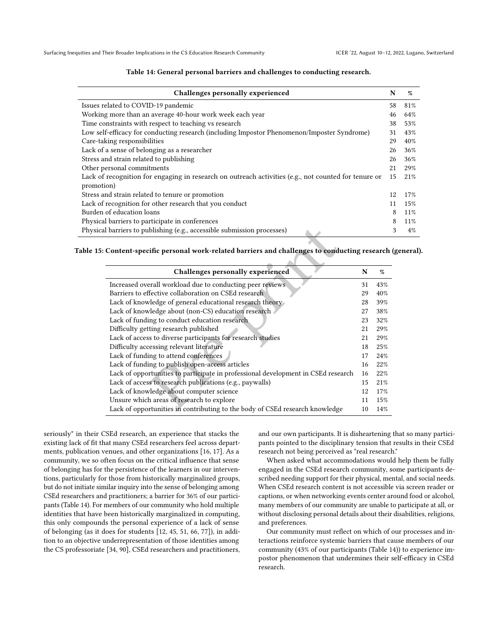<span id="page-10-0"></span>

| Challenges personally experienced                                                                        |    | $\%$  |
|----------------------------------------------------------------------------------------------------------|----|-------|
| Issues related to COVID-19 pandemic                                                                      | 58 | 81%   |
| Working more than an average 40-hour work week each year                                                 | 46 | 64%   |
| Time constraints with respect to teaching vs research                                                    | 38 | 53%   |
| Low self-efficacy for conducting research (including Impostor Phenomenon/Imposter Syndrome)              | 31 | 43%   |
| Care-taking responsibilities                                                                             | 29 | 40%   |
| Lack of a sense of belonging as a researcher                                                             | 26 | 36%   |
| Stress and strain related to publishing                                                                  | 26 | 36%   |
| Other personal commitments                                                                               | 21 | 29%   |
| Lack of recognition for engaging in research on outreach activities (e.g., not counted for tenure or     | 15 | 21%   |
| promotion)                                                                                               |    |       |
| Stress and strain related to tenure or promotion                                                         | 12 | 17%   |
| Lack of recognition for other research that you conduct                                                  | 11 | 15%   |
| Burden of education loans                                                                                | 8  | 11%   |
| Physical barriers to participate in conferences                                                          | 8  | 11%   |
| Physical barriers to publishing (e.g., accessible submission processes)<br>$\mathbf{A}$ and $\mathbf{A}$ |    | $4\%$ |

#### Table 14: General personal barriers and challenges to conducting research.

<span id="page-10-1"></span>Table 15: Content-specific personal work-related barriers and challenges to conducting research (general).

| I barriers to publishing (e.g., accessible submission processes)<br>Content-specific personal work-related barriers and challenges to conducting research |    |     |
|-----------------------------------------------------------------------------------------------------------------------------------------------------------|----|-----|
| Challenges personally experienced                                                                                                                         | N  | %   |
| Increased overall workload due to conducting peer reviews                                                                                                 | 31 | 43% |
| Barriers to effective collaboration on CSEd research                                                                                                      | 29 | 40% |
| Lack of knowledge of general educational research theory                                                                                                  | 28 | 39% |
| Lack of knowledge about (non-CS) education research                                                                                                       | 27 | 38% |
| Lack of funding to conduct education research                                                                                                             | 23 | 32% |
| Difficulty getting research published                                                                                                                     | 21 | 29% |
| Lack of access to diverse participants for research studies                                                                                               | 21 | 29% |
| Difficulty accessing relevant literature                                                                                                                  | 18 | 25% |
| Lack of funding to attend conferences                                                                                                                     | 17 | 24% |
| Lack of funding to publish open-access articles                                                                                                           | 16 | 22% |
| Lack of opportunities to participate in professional development in CSEd research                                                                         | 16 | 22% |
| Lack of access to research publications (e.g., paywalls)                                                                                                  | 15 | 21% |
| Lack of knowledge about computer science                                                                                                                  | 12 | 17% |
| Unsure which areas of research to explore                                                                                                                 | 11 | 15% |
| Lack of opportunities in contributing to the body of CSEd research knowledge                                                                              | 10 | 14% |

seriously" in their CSEd research, an experience that stacks the existing lack of fit that many CSEd researchers feel across departments, publication venues, and other organizations [\[16,](#page-13-9) [17\]](#page-13-15). As a community, we so often focus on the critical influence that sense of belonging has for the persistence of the learners in our interventions, particularly for those from historically marginalized groups, but do not initiate similar inquiry into the sense of belonging among CSEd researchers and practitioners; a barrier for 36% of our participants (Table [14\)](#page-10-0). For members of our community who hold multiple identities that have been historically marginalized in computing, this only compounds the personal experience of a lack of sense of belonging (as it does for students [\[12,](#page-13-42) [45,](#page-13-43) [51,](#page-14-41) [66,](#page-14-42) [77\]](#page-14-39)), in addition to an objective underrepresentation of those identities among the CS professoriate [\[34,](#page-13-1) [90\]](#page-14-43), CSEd researchers and practitioners, and our own participants. It is disheartening that so many participants pointed to the disciplinary tension that results in their CSEd research not being perceived as "real research."

When asked what accommodations would help them be fully engaged in the CSEd research community, some participants described needing support for their physical, mental, and social needs. When CSEd research content is not accessible via screen reader or captions, or when networking events center around food or alcohol, many members of our community are unable to participate at all, or without disclosing personal details about their disabilities, religions, and preferences.

Our community must reflect on which of our processes and interactions reinforce systemic barriers that cause members of our community (43% of our participants (Table [14\)](#page-10-0)) to experience impostor phenomenon that undermines their self-efficacy in CSEd research.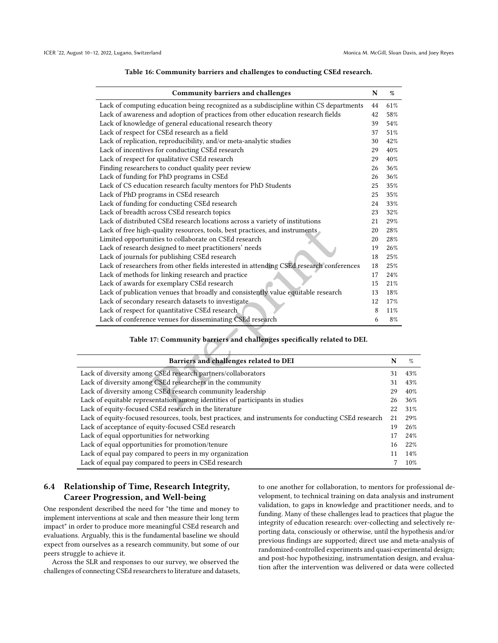<span id="page-11-0"></span>

| <b>Community barriers and challenges</b>                                                | $\mathbf N$ | %   |
|-----------------------------------------------------------------------------------------|-------------|-----|
| Lack of computing education being recognized as a subdiscipline within CS departments   | 44          | 61% |
| Lack of awareness and adoption of practices from other education research fields        | 42          | 58% |
| Lack of knowledge of general educational research theory                                | 39          | 54% |
| Lack of respect for CSEd research as a field                                            | 37          | 51% |
| Lack of replication, reproducibility, and/or meta-analytic studies                      | 30          | 42% |
| Lack of incentives for conducting CSEd research                                         | 29          | 40% |
| Lack of respect for qualitative CSEd research                                           | 29          | 40% |
| Finding researchers to conduct quality peer review                                      | 26          | 36% |
| Lack of funding for PhD programs in CSEd                                                | 26          | 36% |
| Lack of CS education research faculty mentors for PhD Students                          | 25          | 35% |
| Lack of PhD programs in CSEd research                                                   | 25          | 35% |
| Lack of funding for conducting CSEd research                                            | 24          | 33% |
| Lack of breadth across CSEd research topics                                             | 23          | 32% |
| Lack of distributed CSEd research locations across a variety of institutions            | 21          | 29% |
| Lack of free high-quality resources, tools, best practices, and instruments             | 20          | 28% |
| Limited opportunities to collaborate on CSEd research                                   | 20          | 28% |
| Lack of research designed to meet practitioners' needs                                  | 19          | 26% |
| Lack of journals for publishing CSEd research                                           | 18          | 25% |
| Lack of researchers from other fields interested in attending CSEd research conferences | 18          | 25% |
| Lack of methods for linking research and practice                                       | 17          | 24% |
| Lack of awards for exemplary CSEd research                                              | 15          | 21% |
| Lack of publication venues that broadly and consistently value equitable research       | 13          | 18% |
| Lack of secondary research datasets to investigate                                      | 12          | 17% |
| Lack of respect for quantitative CSEd research                                          | 8           | 11% |
| Lack of conference venues for disseminating CSEd research                               | 6           | 8%  |
| Table 17: Community barriers and challenges specifically related to DEI.                |             |     |
|                                                                                         |             |     |
| Barriers and challenges related to DEI                                                  |             | N   |
| of diversity among CSEd research partners/collaborators                                 |             | 31  |
| of diversity among CSEd researchers in the community                                    |             | 31  |
| of diversity among CSEd research community leadership                                   |             | 29  |
| of equitable representation among identities of participants in studies                 |             | 26  |
| of equity-focused CSEd research in the literature                                       |             | 22  |

## Table 16: Community barriers and challenges to conducting CSEd research.

<span id="page-11-1"></span>

| Barriers and challenges related to DEI                                                                | N   | %    |
|-------------------------------------------------------------------------------------------------------|-----|------|
| Lack of diversity among CSEd research partners/collaborators                                          | 31  | 43%  |
| Lack of diversity among CSEd researchers in the community                                             | 31  | 43%  |
| Lack of diversity among CSEd research community leadership                                            | 29  | 40%  |
| Lack of equitable representation among identities of participants in studies                          | 26  | 36%  |
| Lack of equity-focused CSEd research in the literature                                                | 22. | 31\% |
| Lack of equity-focused resources, tools, best practices, and instruments for conducting CSEd research | 21  | 29%  |
| Lack of acceptance of equity-focused CSEd research                                                    | 19  | 26%  |
| Lack of equal opportunities for networking                                                            |     | 24%  |
| Lack of equal opportunities for promotion/tenure                                                      | 16  | 22%  |
| Lack of equal pay compared to peers in my organization                                                |     | 14%  |
| Lack of equal pay compared to peers in CSEd research                                                  |     | 10%  |

# 6.4 Relationship of Time, Research Integrity, Career Progression, and Well-being

One respondent described the need for "the time and money to implement interventions at scale and then measure their long term impact" in order to produce more meaningful CSEd research and evaluations. Arguably, this is the fundamental baseline we should expect from ourselves as a research community, but some of our peers struggle to achieve it.

Across the SLR and responses to our survey, we observed the challenges of connecting CSEd researchers to literature and datasets,

to one another for collaboration, to mentors for professional development, to technical training on data analysis and instrument validation, to gaps in knowledge and practitioner needs, and to funding. Many of these challenges lead to practices that plague the integrity of education research: over-collecting and selectively reporting data, consciously or otherwise, until the hypothesis and/or previous findings are supported; direct use and meta-analysis of randomized-controlled experiments and quasi-experimental design; and post-hoc hypothesizing, instrumentation design, and evaluation after the intervention was delivered or data were collected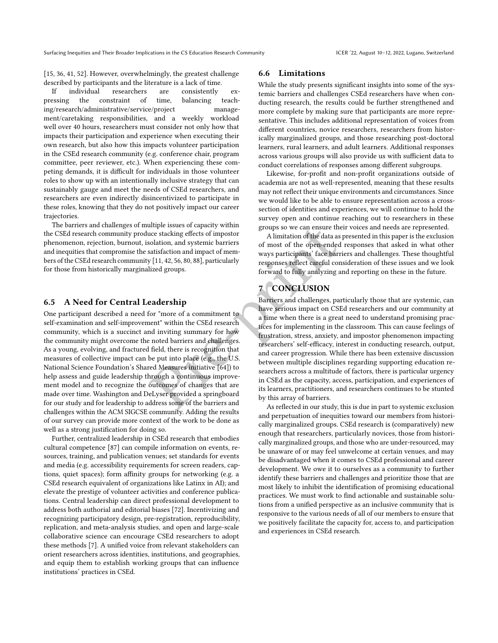[\[15,](#page-13-44) [36,](#page-13-18) [41,](#page-13-31) [52\]](#page-14-44). However, overwhelmingly, the greatest challenge described by participants and the literature is a lack of time.

If individual researchers are consistently expressing the constraint of time, balancing teaching/research/administrative/service/project management/caretaking responsibilities, and a weekly workload well over 40 hours, researchers must consider not only how that impacts their participation and experience when executing their own research, but also how this impacts volunteer participation in the CSEd research community (e.g. conference chair, program committee, peer reviewer, etc.). When experiencing these competing demands, it is difficult for individuals in those volunteer roles to show up with an intentionally inclusive strategy that can sustainably gauge and meet the needs of CSEd researchers, and researchers are even indirectly disincentivized to participate in these roles, knowing that they do not positively impact our career trajectories.

The barriers and challenges of multiple issues of capacity within the CSEd research community produce stacking effects of impostor phenomenon, rejection, burnout, isolation, and systemic barriers and inequities that compromise the satisfaction and impact of members of the CSEd research community [11, 42, 56, 80, 88], particularly for those from historically marginalized groups.

#### 6.5 A Need for Central Leadership

One participant described a need for "more of a commitment to self-examination and self-improvement" within the CSEd research community, which is a succinct and inviting summary for how the community might overcome the noted barriers and challenges. As a young, evolving, and fractured field, there is recognition that measures of collective impact can be put into place (e.g., the U.S. National Science Foundation's Shared Measures initiative [64]) to help assess and guide leadership through a continuous improvement model and to recognize the outcomes of changes that are made over time. [Washington and DeLyser](#page-14-15) provided a springboard for our study and for leadership to address some of the barriers and challenges within the ACM SIGCSE community. Adding the results of our survey can provide more context of the work to be done as well as a strong justification for doing so.

Further, centralized leadership in CSEd research that embodies cultural competence [\[87\]](#page-14-34) can compile information on events, resources, training, and publication venues; set standards for events and media (e.g. accessibility requirements for screen readers, captions, quiet spaces); form affinity groups for networking (e.g. a CSEd research equivalent of organizations like Latinx in AI); and elevate the prestige of volunteer activities and conference publications. Central leadership can direct professional development to address both authorial and editorial biases [\[72\]](#page-14-5). Incentivizing and recognizing participatory design, pre-registration, reproducibility, replication, and meta-analysis studies, and open and large-scale collaborative science can encourage CSEd researchers to adopt these methods [\[7\]](#page-13-34). A unified voice from relevant stakeholders can orient researchers across identities, institutions, and geographies, and equip them to establish working groups that can influence institutions' practices in CSEd.

## 6.6 Limitations

While the study presents significant insights into some of the systemic barriers and challenges CSEd researchers have when conducting research, the results could be further strengthened and more complete by making sure that participants are more representative. This includes additional representation of voices from different countries, novice researchers, researchers from historically marginalized groups, and those researching post-doctoral learners, rural learners, and adult learners. Additional responses across various groups will also provide us with sufficient data to conduct correlations of responses among different subgroups.

Likewise, for-profit and non-profit organizations outside of academia are not as well-represented, meaning that these results may not reflect their unique environments and circumstances. Since we would like to be able to ensure representation across a crosssection of identities and experiences, we will continue to hold the survey open and continue reaching out to researchers in these groups so we can ensure their voices and needs are represented.

A limitation of the data as presented in this paper is the exclusion of most of the open-ended responses that asked in what other ways participants' face barriers and challenges. These thoughtful responses reflect careful consideration of these issues and we look forward to fully analyzing and reporting on these in the future.

# 7 CONCLUSION

Unip[e](#page-14-45)r issues of capacity within<br>
surge the solection, and systemic barriers<br>
solation, and systemic barriers<br>
satisfaction and impact of mem-<br>
satisfaction and impact of mem-<br>
satisfaction and impact of mem-<br>
satisfaction Barriers and challenges, particularly those that are systemic, can have serious impact on CSEd researchers and our community at a time when there is a great need to understand promising practices for implementing in the classroom. This can cause feelings of frustration, stress, anxiety, and impostor phenomenon impacting researchers' self-efficacy, interest in conducting research, output, and career progression. While there has been extensive discussion between multiple disciplines regarding supporting education researchers across a multitude of factors, there is particular urgency in CSEd as the capacity, access, participation, and experiences of its learners, practitioners, and researchers continues to be stunted by this array of barriers.

As reflected in our study, this is due in part to systemic exclusion and perpetuation of inequities toward our members from historically marginalized groups. CSEd research is (comparatively) new enough that researchers, particularly novices, those from historically marginalized groups, and those who are under-resourced, may be unaware of or may feel unwelcome at certain venues, and may be disadvantaged when it comes to CSEd professional and career development. We owe it to ourselves as a community to further identify these barriers and challenges and prioritize those that are most likely to inhibit the identification of promising educational practices. We must work to find actionable and sustainable solutions from a unified perspective as an inclusive community that is responsive to the various needs of all of our members to ensure that we positively facilitate the capacity for, access to, and participation and experiences in CSEd research.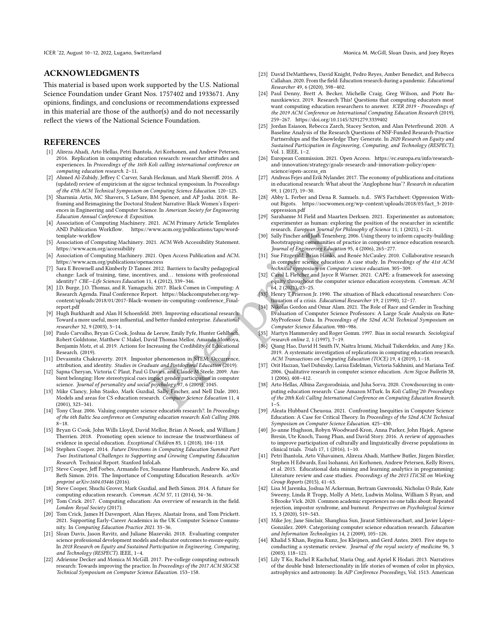## ACKNOWLEDGMENTS

This material is based upon work supported by the U.S. National Science Foundation under Grant Nos. 1757402 and 1933671. Any opinions, findings, and conclusions or recommendations expressed in this material are those of the author(s) and do not necessarily reflect the views of the National Science Foundation.

#### **REFERENCES**

- <span id="page-13-17"></span>[1] Alireza Ahadi, Arto Hellas, Petri Ihantola, Ari Korhonen, and Andrew Petersen. 2016. Replication in computing education research: researcher attitudes and experiences. In Proceedings of the 16th Koli calling international conference on computing education research. 2–11.
- <span id="page-13-39"></span>[2] Ahmed Al-Zubidy, Jeffrey C Carver, Sarah Heckman, and Mark Sherriff. 2016. A (updated) review of empiricism at the sigcse technical symposium. In Proceedings of the 47th ACM Technical Symposium on Computing Science Education. 120–125.
- <span id="page-13-5"></span>[3] Sharnnia Artis, MC Shavers, S LeSure, BM Spencer, and AP Joshi. 2018. Reframing and Reimagining the Doctoral Student Narrative: Black Women's Experiences in Engineering and Computer Science. In American Society for Engineering Education Annual Conference & Exposition.
- <span id="page-13-24"></span>[4] Association of Computing Machinery. 2021. ACM Primary Article Templates AND Publication Workflow. https://www.acm.org/publications/taps/word[template-workflow](https://www.acm.org/publications/taps/word-template-workflow)
- <span id="page-13-25"></span>[5] Association of Computing Machinery. 2021. ACM Web Accessibility Statement. <https://www.acm.org/accessibility>
- <span id="page-13-32"></span>[6] Association of Computing Machinery. 2021. Open Access Publication and ACM. <https://www.acm.org/publications/openaccess>
- <span id="page-13-34"></span>[7] Sara E Brownell and Kimberly D Tanner. 2012. Barriers to faculty pedagogical change: Lack of training, time, incentives, and. . . tensions with professional identity? CBE—Life Sciences Education 11, 4 (2012), 339–346.
- <span id="page-13-28"></span>[8] J.D. Burge, J.O. Thomas, and R. Yamaguchi. 2017. Black Comen in Computing: A Research Agenda. Final Conference Report. https://blackcomputeher.org/wp[content/uploads/2018/01/2017-Black-women-in-computing-conference\\_Final](https://blackcomputeher.org/wp-content/uploads/2018/01/2017-Black-women-in-computing-conference_Final-report.pdf)[report.pdf](https://blackcomputeher.org/wp-content/uploads/2018/01/2017-Black-women-in-computing-conference_Final-report.pdf)
- <span id="page-13-26"></span>[9] Hugh Burkhardt and Alan H Schoenfeld. 2003. Improving educational research: Toward a more useful, more influential, and better-funded enterprise. Educational researcher 32, 9 (2003), 3–14.
- <span id="page-13-41"></span>[10] Paulo Carvalho, Bryan G Cook, Joshua de Leeuw, Emily Fyfe, Hunter Gehlbach, Robert Goldstone, Matthew C Makel, David Thomas Mellor, Amanda Montoya, Benjamin Motz, et al. 2019. Actions for Increasing the Credibility of Educational Research. (2019).
- <span id="page-13-37"></span>[11] Devasmita Chakraverty. 2019. Impostor phenomenon in STEM: Occurrence, attribution, and identity. Studies in Graduate and Postdoctoral Education (2019).
- <span id="page-13-42"></span>[12] Sapna Cheryan, Victoria C Plaut, Paul G Davies, and Claude M Steele. 2009. Ambient belonging: How stereotypical cues impact gender participation in computer science. Journal of personality and social psychology 97, 6 (2009), 1045.
- <span id="page-13-36"></span>[13] Mike Clancy, John Stasko, Mark Guzdial, Sally Fincher, and Nell Dale. 2001. Models and areas for CS education research. Computer Science Education 11, 4 (2001), 323–341.
- <span id="page-13-13"></span>[14] Tony Clear. 2006. Valuing computer science education research?. In Proceedings of the 6th Baltic Sea conference on Computing education research: Koli Calling 2006. 8–18.
- <span id="page-13-44"></span>[15] Bryan G Cook, John Wills Lloyd, David Mellor, Brian A Nosek, and William J Therrien. 2018. Promoting open science to increase the trustworthiness of evidence in special education. Exceptional Children 85, 1 (2018), 104–118.
- <span id="page-13-9"></span>[16] Stephen Cooper. 2014. Future Directions in Computing Education Summit Part Two: Institutional Challenges to Supporting and Growing Computing Education Research. Technical Report. Stanford InfoLab.
- <span id="page-13-15"></span>[17] Steve Cooper, Jeff Forbes, Armando Fox, Susanne Hambrusch, Andrew Ko, and Beth Simon. 2016. The Importance of Computing Education Research. arXiv preprint arXiv:1604.03446 (2016).
- <span id="page-13-20"></span>[18] Steve Cooper, Shuchi Grover, Mark Guzdial, and Beth Simon. 2014. A future for computing education research. Commun. ACM 57, 11 (2014), 34–36.
- <span id="page-13-10"></span>[19] Tom Crick. 2017. Computing education: An overview of research in the field. London: Royal Society (2017).
- <span id="page-13-11"></span>[20] Tom Crick, James H Davenport, Alan Hayes, Alastair Irons, and Tom Prickett. 2021. Supporting Early-Career Academics in the UK Computer Science Community. In Computing Education Practice 2021. 33–36.
- <span id="page-13-40"></span>[21] Sloan Davis, Jason Ravitz, and Juliane Blazevski. 2018. Evaluating computer science professional development models and educator outcomes to ensure equity. In 2018 Research on Equity and Sustained Participation in Engineering, Computing, and Technology (RESPECT). IEEE, 1-4.
- <span id="page-13-16"></span>[22] Adrienne Decker and Monica M McGill. 2017. Pre-college computing outreach research: Towards improving the practice. In Proceedings of the 2017 ACM SIGCSE Technical Symposium on Computer Science Education. 153–158.
- <span id="page-13-38"></span>[23] David DeMatthews, David Knight, Pedro Reyes, Amber Benedict, and Rebecca Callahan. 2020. From the field: Education research during a pandemic. Educational Researcher 49, 6 (2020), 398–402.
- <span id="page-13-21"></span>[24] Paul Denny, Brett A. Becker, Michelle Craig, Greg Wilson, and Piotr Banaszkiewicz. 2019. Research This! Questions that computing educators most want computing education researchers to answer. ICER 2019 - Proceedings of the 2019 ACM Conference on International Computing Education Research (2019), 259–267.<https://doi.org/10.1145/3291279.3339402>
- <span id="page-13-30"></span>[25] Jordan Esiason, Rebecca Zarch, Stacey Sexton, and Alan Peterfreund. 2020. A Baseline Analysis of the Research Questions of NSF-Funded Research-Practice Partnerships and the Knowledge They Generate. In 2020 Research on Equity and Sustained Participation in Engineering, Computing, and Technology (RESPECT), Vol. 1. IEEE, 1–2.
- <span id="page-13-33"></span>[26] European Commission. 2021. Open Access. [https://ec.europa.eu/info/research](https://ec.europa.eu/info/research-and-innovation/strategy/goals-research-and-innovation-policy/open-science/open-access_en)[and-innovation/strategy/goals-research-and-innovation-policy/open](https://ec.europa.eu/info/research-and-innovation/strategy/goals-research-and-innovation-policy/open-science/open-access_en)[science/open-access\\_en](https://ec.europa.eu/info/research-and-innovation/strategy/goals-research-and-innovation-policy/open-science/open-access_en)
- <span id="page-13-7"></span>[27] Andreas Fejes and Erik Nylander. 2017. The economy of publications and citations in educational research: What about the 'Anglophone bias'? Research in education 99, 1 (2017), 19–30.
- <span id="page-13-0"></span>[28] Abby L. Ferber and Dena R. Samuels. n.d.. SWS Factsheet: Oppression Without Bigots. [https://socwomen.org/wp-content/uploads/2018/03/fact\\_3-2010](https://socwomen.org/wp-content/uploads/2018/03/fact_3-2010-oppression.pdf) [oppression.pdf](https://socwomen.org/wp-content/uploads/2018/03/fact_3-2010-oppression.pdf)
- <span id="page-13-8"></span>[29] Sarahanne M Field and Maarten Derksen. 2021. Experimenter as automaton; experimenter as human: exploring the position of the researcher in scientific research. European Journal for Philosophy of Science 11, 1 (2021), 1–21.
- <span id="page-13-22"></span>[30] Sally Fincher and Josh Tenenberg. 2006. Using theory to inform capacity-building: Bootstrapping communities of practice in computer science education research. Journal of Engineering Education 95, 4 (2006), 265–277.
- <span id="page-13-12"></span>Sue Fitzgerald, Brian Hanks, and Renée McCauley. 2010. Collaborative research in computer science education: A case study. In Proceedings of the 41st ACM technical symposium on Computer science education. 305–309.
- <span id="page-13-4"></span>[32] Carol L Fletcher and Jayce R Warner. 2021. CAPE: a framework for assessing equity throughout the computer science education ecosystem. Commun. ACM 64, 2 (2021), 23–25.
- <span id="page-13-2"></span>[33] Henry T Frierson Jr. 1990. The situation of Black educational researchers: Continuation of a crisis. Educational Researcher 19, 2 (1990), 12–17.
- <span id="page-13-1"></span>[34] Nikolas Gordon and Omar Alam. 2021. The Role of Race and Gender in Teaching Evaluation of Computer Science Professors: A Large Scale Analysis on Rate-MyProfessor Data. In Proceedings of the 52nd ACM Technical Symposium on Computer Science Education. 980–986.
- <span id="page-13-6"></span>[35] Martyn Hammersley and Roger Gomm. 1997. Bias in social research. Sociological research online 2, 1 (1997), 7–19.
- <span id="page-13-18"></span>[36] Qiang Hao, David H Smith IV, Naitra Iriumi, Michail Tsikerdekis, and Amy J Ko. 2019. A systematic investigation of replications in computing education research. ACM Transactions on Computing Education (TOCE) 19, 4 (2019), 1–18.
- <span id="page-13-43"></span><span id="page-13-35"></span><span id="page-13-31"></span><span id="page-13-29"></span><span id="page-13-27"></span><span id="page-13-23"></span><span id="page-13-19"></span><span id="page-13-14"></span><span id="page-13-3"></span>[37] Orit Hazzan, Yael Dubinsky, Larisa Eidelman, Victoria Sakhnini, and Mariana Teif. 2006. Qualitative research in computer science education. Acm Sigcse Bulletin 38, 1 (2006), 408–412.
- Exertit Constraints (and Michael Tem[p](https://blackcomputeher.org/wp-content/uploads/2018/01/2017-Black-women-in-computing-conference_Final-report.pdf)elations/Apply the Conditions/Apply the research. European Journal for Philosoph<br>
1903. ACM Web Accessibility Statement.<br>
1903. ACM Web Accessibility Statement<br>
201. Open Access Publica [38] Arto Hellas, Albina Zavgorodniaia, and Juha Sorva. 2020. Crowdsourcing in computing education research: Case Amazon MTurk. In Koli Calling'20: Proceedings of the 20th Koli Calling International Conference on Computing Education Research.  $1 - 5$ .
	- [39] Aleata Hubbard Cheuoua. 2021. Confronting Inequities in Computer Science Education: A Case for Critical Theory. In Proceedings of the 52nd ACM Technical Symposium on Computer Science Education. 425–430.
	- [40] Jo-anne Hughson, Robyn Woodward-Kron, Anna Parker, John Hajek, Agnese Bresin, Ute Knoch, Tuong Phan, and David Story. 2016. A review of approaches to improve participation of culturally and linguistically diverse populations in clinical trials. Trials 17, 1 (2016), 1–10.
	- [41] Petri Ihantola, Arto Vihavainen, Alireza Ahadi, Matthew Butler, Jürgen Börstler, Stephen H Edwards, Essi Isohanni, Ari Korhonen, Andrew Petersen, Kelly Rivers, et al. 2015. Educational data mining and learning analytics in programming: Literature review and case studies. Proceedings of the 2015 ITiCSE on Working Group Reports (2015), 41–63.
	- [42] Lisa M Jaremka, Joshua M Ackerman, Bertram Gawronski, Nicholas O Rule, Kate Sweeny, Linda R Tropp, Molly A Metz, Ludwin Molina, William S Ryan, and S Brooke Vick. 2020. Common academic experiences no one talks about: Repeated rejection, impostor syndrome, and burnout. Perspectives on Psychological Science 15, 3 (2020), 519–543.
	- [43] Mike Joy, Jane Sinclair, Shanghua Sun, Jirarat Sitthiworachart, and Javier López-González. 2009. Categorising computer science education research. Education and Information Technologies 14, 2 (2009), 105–126.
	- [44] Khalid S Khan, Regina Kunz, Jos Kleijnen, and Gerd Antes. 2003. Five steps to conducting a systematic review. Journal of the royal society of medicine 96, 3 (2003), 118–121.
	- [45] Lily T Ko, Rachel R Kachchaf, Maria Ong, and Apriel K Hodari. 2013. Narratives of the double bind: Intersectionality in life stories of women of color in physics, astrophysics and astronomy. In AIP Conference Proceedings, Vol. 1513. American